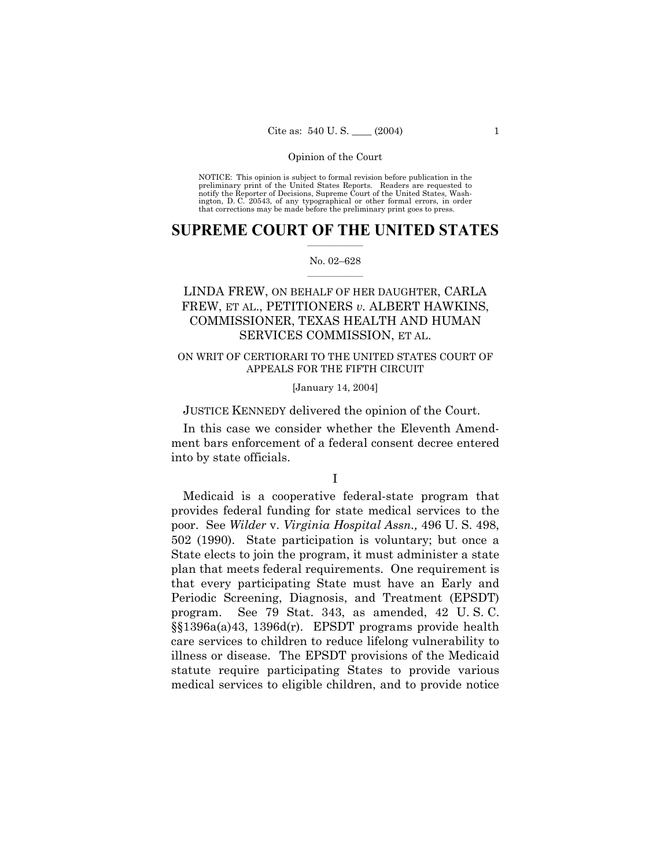NOTICE: This opinion is subject to formal revision before publication in the preliminary print of the United States Reports. Readers are requested to notify the Reporter of Decisions, Supreme Court of the United States, Wa ington, D. C. 20543, of any typographical or other formal errors, in order that corrections may be made before the preliminary print goes to press.

### **SUPREME COURT OF THE UNITED STATES**  $\mathcal{L}=\mathcal{L}^{\mathcal{L}}$

### No. 02-628  $\mathcal{L}=\mathcal{L}^{\mathcal{L}}$

# LINDA FREW, ON BEHALF OF HER DAUGHTER, CARLA FREW, ET AL., PETITIONERS *v.* ALBERT HAWKINS, COMMISSIONER, TEXAS HEALTH AND HUMAN SERVICES COMMISSION, ET AL.

## ON WRIT OF CERTIORARI TO THE UNITED STATES COURT OF APPEALS FOR THE FIFTH CIRCUIT

### [January 14, 2004]

JUSTICE KENNEDY delivered the opinion of the Court.

In this case we consider whether the Eleventh Amendment bars enforcement of a federal consent decree entered into by state officials.

## I

Medicaid is a cooperative federal-state program that provides federal funding for state medical services to the poor. See *Wilder* v. *Virginia Hospital Assn.,* 496 U. S. 498, 502 (1990). State participation is voluntary; but once a State elects to join the program, it must administer a state plan that meets federal requirements. One requirement is that every participating State must have an Early and Periodic Screening, Diagnosis, and Treatment (EPSDT) program. See 79 Stat. 343, as amended, 42 U. S. C. ßß1396a(a)43, 1396d(r). EPSDT programs provide health care services to children to reduce lifelong vulnerability to illness or disease. The EPSDT provisions of the Medicaid statute require participating States to provide various medical services to eligible children, and to provide notice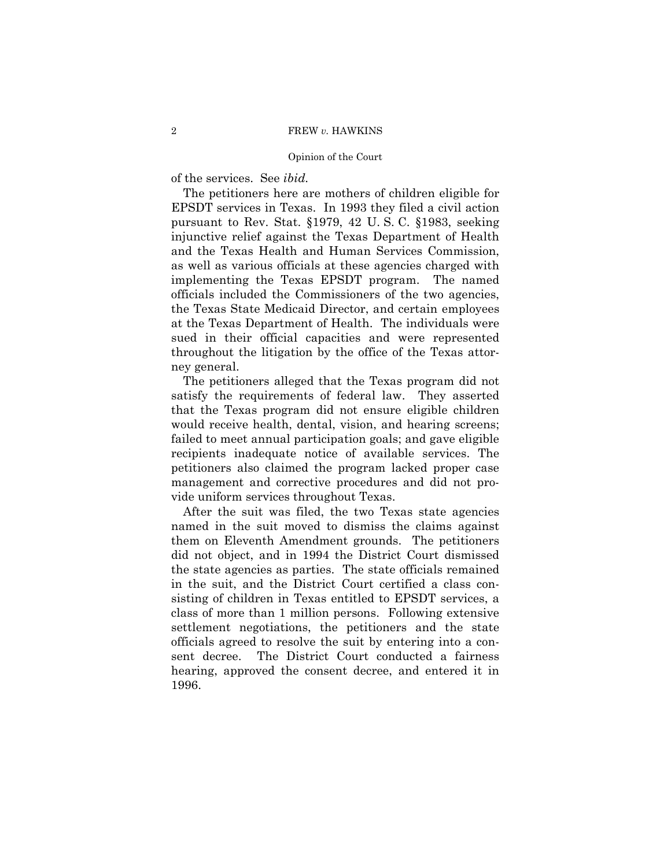of the services. See *ibid.*

The petitioners here are mothers of children eligible for EPSDT services in Texas. In 1993 they filed a civil action pursuant to Rev. Stat. ß1979, 42 U. S. C. ß1983, seeking injunctive relief against the Texas Department of Health and the Texas Health and Human Services Commission, as well as various officials at these agencies charged with implementing the Texas EPSDT program. The named officials included the Commissioners of the two agencies, the Texas State Medicaid Director, and certain employees at the Texas Department of Health. The individuals were sued in their official capacities and were represented throughout the litigation by the office of the Texas attorney general.

The petitioners alleged that the Texas program did not satisfy the requirements of federal law. They asserted that the Texas program did not ensure eligible children would receive health, dental, vision, and hearing screens; failed to meet annual participation goals; and gave eligible recipients inadequate notice of available services. The petitioners also claimed the program lacked proper case management and corrective procedures and did not provide uniform services throughout Texas.

After the suit was filed, the two Texas state agencies named in the suit moved to dismiss the claims against them on Eleventh Amendment grounds. The petitioners did not object, and in 1994 the District Court dismissed the state agencies as parties. The state officials remained in the suit, and the District Court certified a class consisting of children in Texas entitled to EPSDT services, a class of more than 1 million persons. Following extensive settlement negotiations, the petitioners and the state officials agreed to resolve the suit by entering into a consent decree. The District Court conducted a fairness hearing, approved the consent decree, and entered it in 1996.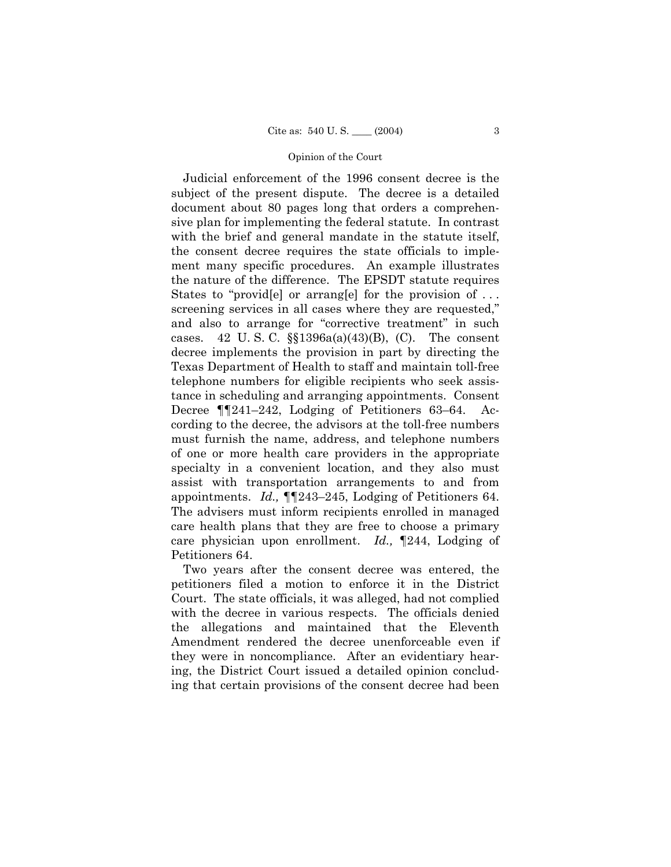Judicial enforcement of the 1996 consent decree is the subject of the present dispute. The decree is a detailed document about 80 pages long that orders a comprehensive plan for implementing the federal statute. In contrast with the brief and general mandate in the statute itself, the consent decree requires the state officials to implement many specific procedures. An example illustrates the nature of the difference. The EPSDT statute requires States to "providell" or arranglel for the provision of  $\dots$ screening services in all cases where they are requested," and also to arrange for "corrective treatment" in such cases. 42 U.S.C.  $\S$  $1396a(a)(43)(B)$ , (C). The consent decree implements the provision in part by directing the Texas Department of Health to staff and maintain toll-free telephone numbers for eligible recipients who seek assistance in scheduling and arranging appointments. Consent Decree  $\P$ [241–242, Lodging of Petitioners 63–64. According to the decree, the advisors at the toll-free numbers must furnish the name, address, and telephone numbers of one or more health care providers in the appropriate specialty in a convenient location, and they also must assist with transportation arrangements to and from appointments. *Id.*,  $\P$  $[243-245,$  Lodging of Petitioners 64. The advisers must inform recipients enrolled in managed care health plans that they are free to choose a primary care physician upon enrollment. *Id.,* ¶244, Lodging of Petitioners 64.

Two years after the consent decree was entered, the petitioners filed a motion to enforce it in the District Court. The state officials, it was alleged, had not complied with the decree in various respects. The officials denied the allegations and maintained that the Eleventh Amendment rendered the decree unenforceable even if they were in noncompliance. After an evidentiary hearing, the District Court issued a detailed opinion concluding that certain provisions of the consent decree had been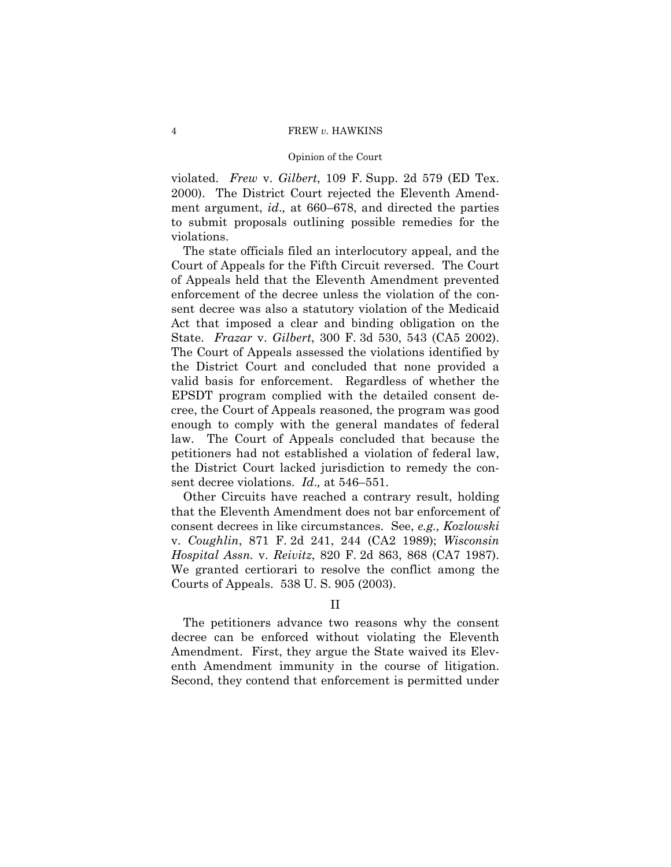violated. *Frew* v. *Gilbert*, 109 F. Supp. 2d 579 (ED Tex. 2000). The District Court rejected the Eleventh Amendment argument, *id.*, at 660–678, and directed the parties to submit proposals outlining possible remedies for the violations.

The state officials filed an interlocutory appeal, and the Court of Appeals for the Fifth Circuit reversed. The Court of Appeals held that the Eleventh Amendment prevented enforcement of the decree unless the violation of the consent decree was also a statutory violation of the Medicaid Act that imposed a clear and binding obligation on the State. *Frazar* v. *Gilbert*, 300 F. 3d 530, 543 (CA5 2002). The Court of Appeals assessed the violations identified by the District Court and concluded that none provided a valid basis for enforcement. Regardless of whether the EPSDT program complied with the detailed consent decree, the Court of Appeals reasoned, the program was good enough to comply with the general mandates of federal law. The Court of Appeals concluded that because the petitioners had not established a violation of federal law, the District Court lacked jurisdiction to remedy the consent decree violations. *Id.*, at 546-551.

Other Circuits have reached a contrary result, holding that the Eleventh Amendment does not bar enforcement of consent decrees in like circumstances. See, *e.g., Kozlowski* v. *Coughlin*, 871 F. 2d 241, 244 (CA2 1989); *Wisconsin Hospital Assn.* v. *Reivitz*, 820 F. 2d 863, 868 (CA7 1987). We granted certiorari to resolve the conflict among the Courts of Appeals. 538 U. S. 905 (2003).

## II

The petitioners advance two reasons why the consent decree can be enforced without violating the Eleventh Amendment. First, they argue the State waived its Eleventh Amendment immunity in the course of litigation. Second, they contend that enforcement is permitted under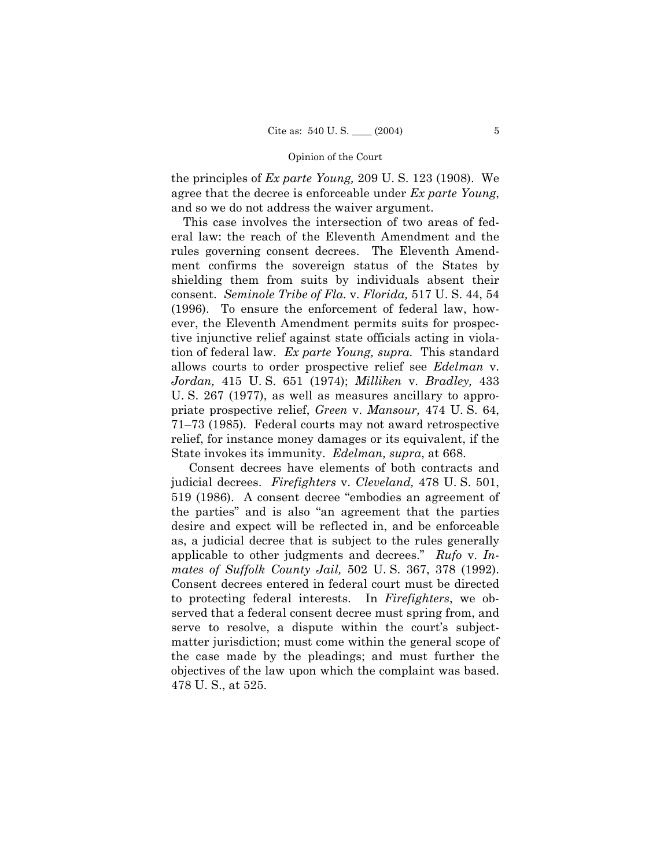the principles of *Ex parte Young,* 209 U. S. 123 (1908). We agree that the decree is enforceable under *Ex parte Young*, and so we do not address the waiver argument.

This case involves the intersection of two areas of federal law: the reach of the Eleventh Amendment and the rules governing consent decrees. The Eleventh Amendment confirms the sovereign status of the States by shielding them from suits by individuals absent their consent. *Seminole Tribe of Fla.* v. *Florida,* 517 U. S. 44, 54 (1996). To ensure the enforcement of federal law, however, the Eleventh Amendment permits suits for prospective injunctive relief against state officials acting in violation of federal law. *Ex parte Young, supra.* This standard allows courts to order prospective relief see *Edelman* v. *Jordan,* 415 U. S. 651 (1974); *Milliken* v. *Bradley,* 433 U. S. 267 (1977), as well as measures ancillary to appropriate prospective relief, *Green* v. *Mansour,* 474 U. S. 64, 71–73 (1985). Federal courts may not award retrospective relief, for instance money damages or its equivalent, if the State invokes its immunity. *Edelman, supra*, at 668.

 Consent decrees have elements of both contracts and judicial decrees. *Firefighters* v. *Cleveland,* 478 U. S. 501, 519 (1986). A consent decree "embodies an agreement of the parties" and is also "an agreement that the parties desire and expect will be reflected in, and be enforceable as, a judicial decree that is subject to the rules generally applicable to other judgments and decrees." Rufo v. In*mates of Suffolk County Jail,* 502 U. S. 367, 378 (1992). Consent decrees entered in federal court must be directed to protecting federal interests. In *Firefighters*, we observed that a federal consent decree must spring from, and serve to resolve, a dispute within the court's subjectmatter jurisdiction; must come within the general scope of the case made by the pleadings; and must further the objectives of the law upon which the complaint was based. 478 U. S., at 525.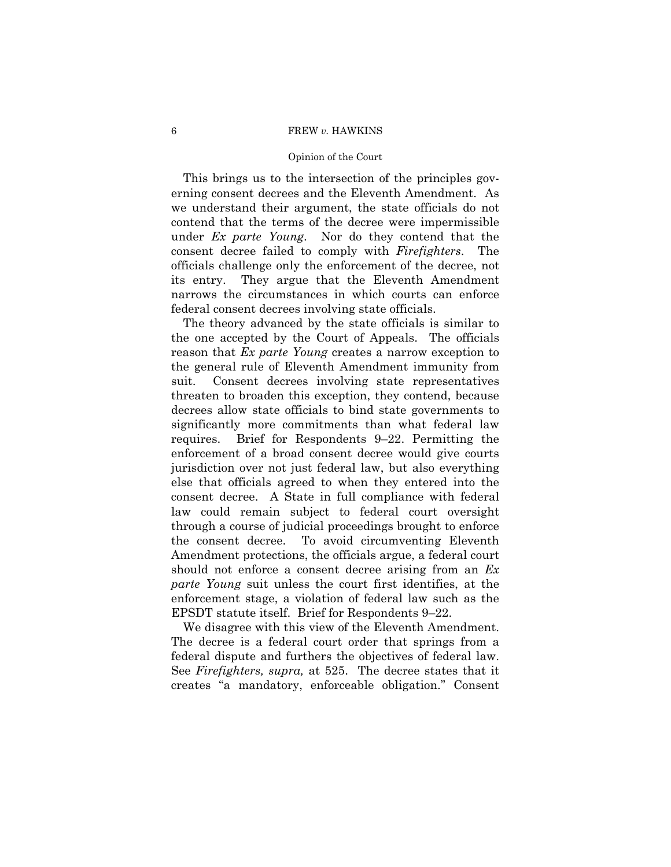## 6 FREW *v.* HAWKINS

### Opinion of the Court

This brings us to the intersection of the principles governing consent decrees and the Eleventh Amendment. As we understand their argument, the state officials do not contend that the terms of the decree were impermissible under *Ex parte Young*. Nor do they contend that the consent decree failed to comply with *Firefighters*. The officials challenge only the enforcement of the decree, not its entry. They argue that the Eleventh Amendment narrows the circumstances in which courts can enforce federal consent decrees involving state officials.

The theory advanced by the state officials is similar to the one accepted by the Court of Appeals. The officials reason that *Ex parte Young* creates a narrow exception to the general rule of Eleventh Amendment immunity from suit. Consent decrees involving state representatives threaten to broaden this exception, they contend, because decrees allow state officials to bind state governments to significantly more commitments than what federal law requires. Brief for Respondents  $9-22$ . Permitting the enforcement of a broad consent decree would give courts jurisdiction over not just federal law, but also everything else that officials agreed to when they entered into the consent decree. A State in full compliance with federal law could remain subject to federal court oversight through a course of judicial proceedings brought to enforce the consent decree. To avoid circumventing Eleventh Amendment protections, the officials argue, a federal court should not enforce a consent decree arising from an *Ex parte Young* suit unless the court first identifies, at the enforcement stage, a violation of federal law such as the EPSDT statute itself. Brief for Respondents  $9-22$ .

We disagree with this view of the Eleventh Amendment. The decree is a federal court order that springs from a federal dispute and furthers the objectives of federal law. See *Firefighters, supra,* at 525. The decree states that it creates "a mandatory, enforceable obligation." Consent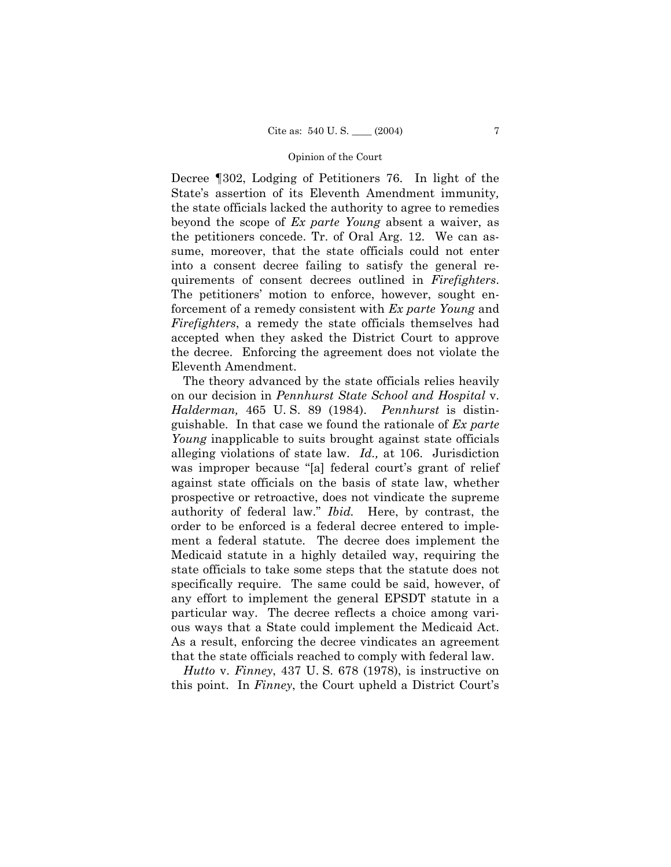Decree ¶302, Lodging of Petitioners 76. In light of the State's assertion of its Eleventh Amendment immunity, the state officials lacked the authority to agree to remedies beyond the scope of *Ex parte Young* absent a waiver, as the petitioners concede. Tr. of Oral Arg. 12. We can assume, moreover, that the state officials could not enter into a consent decree failing to satisfy the general requirements of consent decrees outlined in *Firefighters*. The petitioners' motion to enforce, however, sought enforcement of a remedy consistent with *Ex parte Young* and *Firefighters*, a remedy the state officials themselves had accepted when they asked the District Court to approve the decree. Enforcing the agreement does not violate the Eleventh Amendment.

The theory advanced by the state officials relies heavily on our decision in *Pennhurst State School and Hospital* v. *Halderman,* 465 U. S. 89 (1984). *Pennhurst* is distinguishable. In that case we found the rationale of *Ex parte Young* inapplicable to suits brought against state officials alleging violations of state law. *Id.,* at 106. Jurisdiction was improper because "[a] federal court's grant of relief against state officials on the basis of state law, whether prospective or retroactive, does not vindicate the supreme authority of federal law." *Ibid*. Here, by contrast, the order to be enforced is a federal decree entered to implement a federal statute. The decree does implement the Medicaid statute in a highly detailed way, requiring the state officials to take some steps that the statute does not specifically require. The same could be said, however, of any effort to implement the general EPSDT statute in a particular way. The decree reflects a choice among various ways that a State could implement the Medicaid Act. As a result, enforcing the decree vindicates an agreement that the state officials reached to comply with federal law.

*Hutto* v. *Finney*, 437 U. S. 678 (1978), is instructive on this point. In *Finney*, the Court upheld a District Court's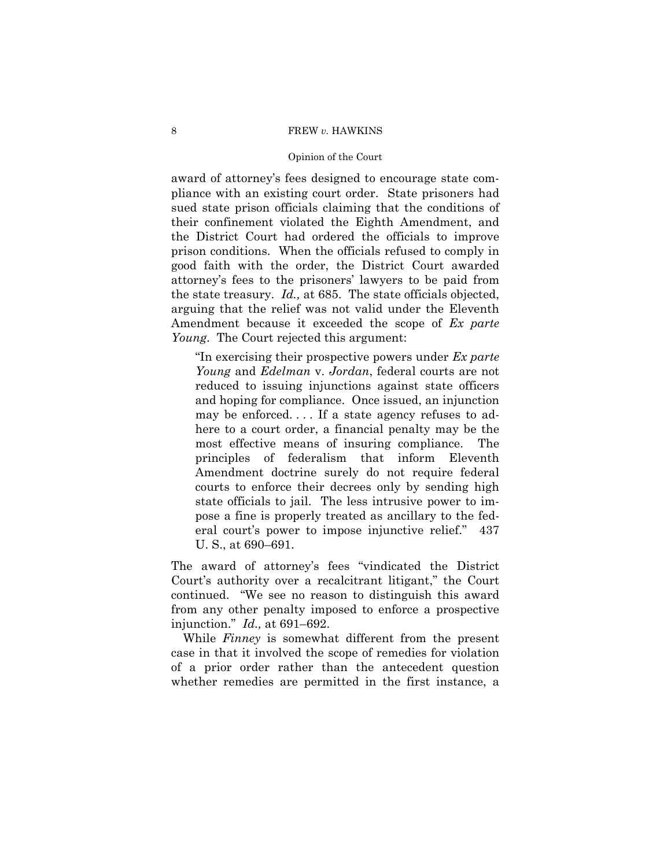### 8 FREW *v.* HAWKINS

### Opinion of the Court

award of attorneyís fees designed to encourage state compliance with an existing court order. State prisoners had sued state prison officials claiming that the conditions of their confinement violated the Eighth Amendment, and the District Court had ordered the officials to improve prison conditions. When the officials refused to comply in good faith with the order, the District Court awarded attorneyís fees to the prisonersí lawyers to be paid from the state treasury. *Id.,* at 685. The state officials objected, arguing that the relief was not valid under the Eleventh Amendment because it exceeded the scope of *Ex parte Young*. The Court rejected this argument:

ìIn exercising their prospective powers under *Ex parte Young* and *Edelman* v. *Jordan*, federal courts are not reduced to issuing injunctions against state officers and hoping for compliance. Once issued, an injunction may be enforced. . . . If a state agency refuses to adhere to a court order, a financial penalty may be the most effective means of insuring compliance. The principles of federalism that inform Eleventh Amendment doctrine surely do not require federal courts to enforce their decrees only by sending high state officials to jail. The less intrusive power to impose a fine is properly treated as ancillary to the federal court's power to impose injunctive relief." 437 U. S., at 690–691.

The award of attorney's fees "vindicated the District Court's authority over a recalcitrant litigant," the Court continued. "We see no reason to distinguish this award from any other penalty imposed to enforce a prospective injunction.<sup>*n*</sup> *Id.*, at 691–692.

While *Finney* is somewhat different from the present case in that it involved the scope of remedies for violation of a prior order rather than the antecedent question whether remedies are permitted in the first instance, a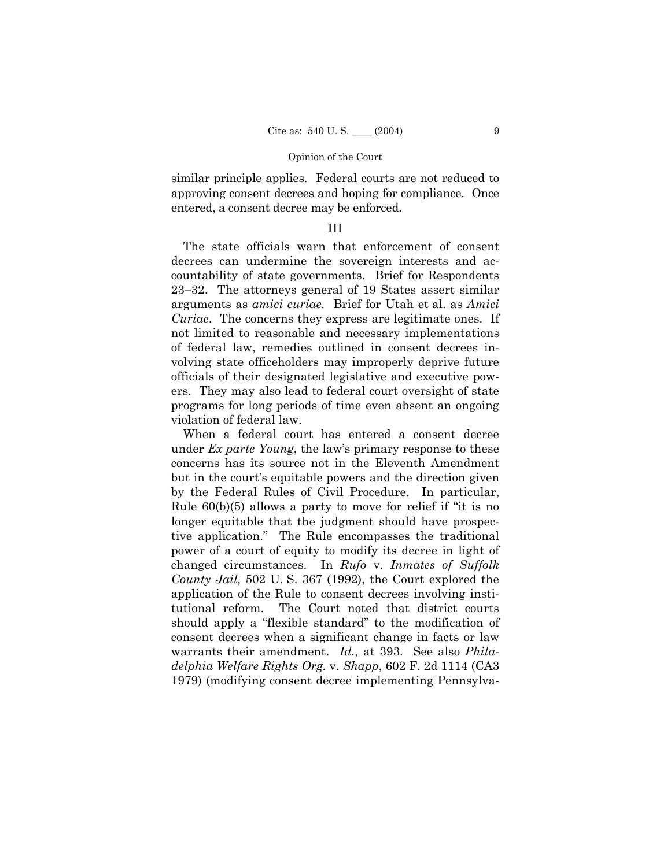similar principle applies. Federal courts are not reduced to approving consent decrees and hoping for compliance. Once entered, a consent decree may be enforced.

## III

The state officials warn that enforcement of consent decrees can undermine the sovereign interests and accountability of state governments. Brief for Respondents 23–32. The attorneys general of 19 States assert similar arguments as *amici curiae.* Brief for Utah et al. as *Amici Curiae*. The concerns they express are legitimate ones. If not limited to reasonable and necessary implementations of federal law, remedies outlined in consent decrees involving state officeholders may improperly deprive future officials of their designated legislative and executive powers. They may also lead to federal court oversight of state programs for long periods of time even absent an ongoing violation of federal law.

When a federal court has entered a consent decree under *Ex parte Young*, the law's primary response to these concerns has its source not in the Eleventh Amendment but in the court's equitable powers and the direction given by the Federal Rules of Civil Procedure. In particular, Rule  $60(b)(5)$  allows a party to move for relief if "it is no longer equitable that the judgment should have prospective application.î The Rule encompasses the traditional power of a court of equity to modify its decree in light of changed circumstances. In *Rufo* v. *Inmates of Suffolk County Jail,* 502 U. S. 367 (1992), the Court explored the application of the Rule to consent decrees involving institutional reform. The Court noted that district courts should apply a "flexible standard" to the modification of consent decrees when a significant change in facts or law warrants their amendment. *Id.,* at 393. See also *Philadelphia Welfare Rights Org.* v. *Shapp*, 602 F. 2d 1114 (CA3 1979) (modifying consent decree implementing Pennsylva-